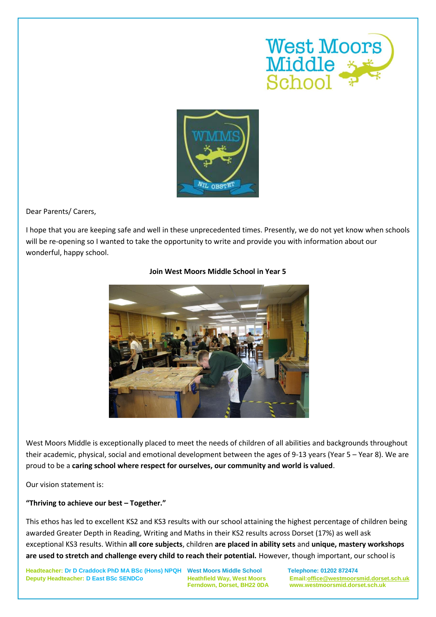



Dear Parents/ Carers,

I hope that you are keeping safe and well in these unprecedented times. Presently, we do not yet know when schools will be re-opening so I wanted to take the opportunity to write and provide you with information about our wonderful, happy school.



## **Join West Moors Middle School in Year 5**

West Moors Middle is exceptionally placed to meet the needs of children of all abilities and backgrounds throughout their academic, physical, social and emotional development between the ages of 9-13 years (Year 5 – Year 8). We are proud to be a **caring school where respect for ourselves, our community and world is valued**.

Our vision statement is:

## **"Thriving to achieve our best – Together."**

This ethos has led to excellent KS2 and KS3 results with our school attaining the highest percentage of children being awarded Greater Depth in Reading, Writing and Maths in their KS2 results across Dorset (17%) as well ask exceptional KS3 results. Within **all core subjects**, children **are placed in ability sets** and **unique, mastery workshops are used to stretch and challenge every child to reach their potential.** However, though important, our school is

**Headteacher: Dr D Craddock PhD MA BSc (Hons) NPQH West Moors Middle School Telephone: 01202 872474 Deputy Headteacher: D East BSc SENDCo Heathfield Way, West Moors Email[:office@westmoorsmid.dorset.sch.uk](mailto:office@westmoorsmid.dorset.sch.uk)**

 **Ferndown, Dorset, BH22 0DA www.westmoorsmid.dorset.sch.uk**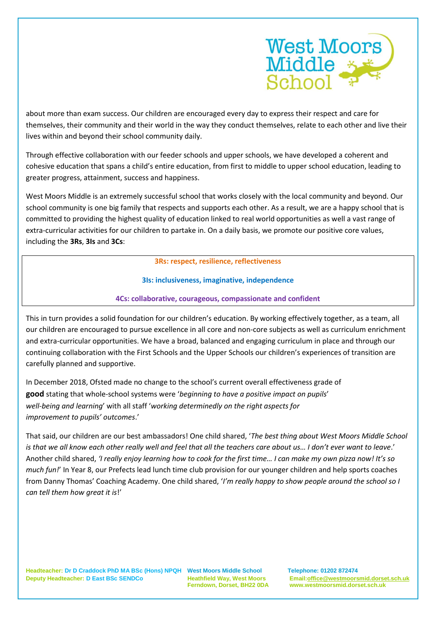

about more than exam success. Our children are encouraged every day to express their respect and care for themselves, their community and their world in the way they conduct themselves, relate to each other and live their lives within and beyond their school community daily.

Through effective collaboration with our feeder schools and upper schools, we have developed a coherent and cohesive education that spans a child's entire education, from first to middle to upper school education, leading to greater progress, attainment, success and happiness.

West Moors Middle is an extremely successful school that works closely with the local community and beyond. Our school community is one big family that respects and supports each other. As a result, we are a happy school that is committed to providing the highest quality of education linked to real world opportunities as well a vast range of extra-curricular activities for our children to partake in. On a daily basis, we promote our positive core values, including the **3Rs**, **3Is** and **3Cs**:

**3Rs: respect, resilience, reflectiveness**

## **3Is: inclusiveness, imaginative, independence**

## **4Cs: collaborative, courageous, compassionate and confident**

This in turn provides a solid foundation for our children's education. By working effectively together, as a team, all our children are encouraged to pursue excellence in all core and non-core subjects as well as curriculum enrichment and extra-curricular opportunities. We have a broad, balanced and engaging curriculum in place and through our continuing collaboration with the First Schools and the Upper Schools our children's experiences of transition are carefully planned and supportive.

In December 2018, Ofsted made no change to the school's current overall effectiveness grade of **good** stating that whole-school systems were '*beginning to have a positive impact on pupils*' *well-being and learning*' with all staff '*working determinedly on the right aspects for improvement to pupils' outcomes*.'

That said, our children are our best ambassadors! One child shared, '*The best thing about West Moors Middle School is that we all know each other really well and feel that all the teachers care about us… I don't ever want to leave*.' Another child shared, *'I really enjoy learning how to cook for the first time… I can make my own pizza now! It's so much fun!*' In Year 8, our Prefects lead lunch time club provision for our younger children and help sports coaches from Danny Thomas' Coaching Academy. One child shared, '*I'm really happy to show people around the school so I can tell them how great it is*!'

 **Ferndown, Dorset, BH22 0DA www.westmoorsmid.dorset.sch.uk**